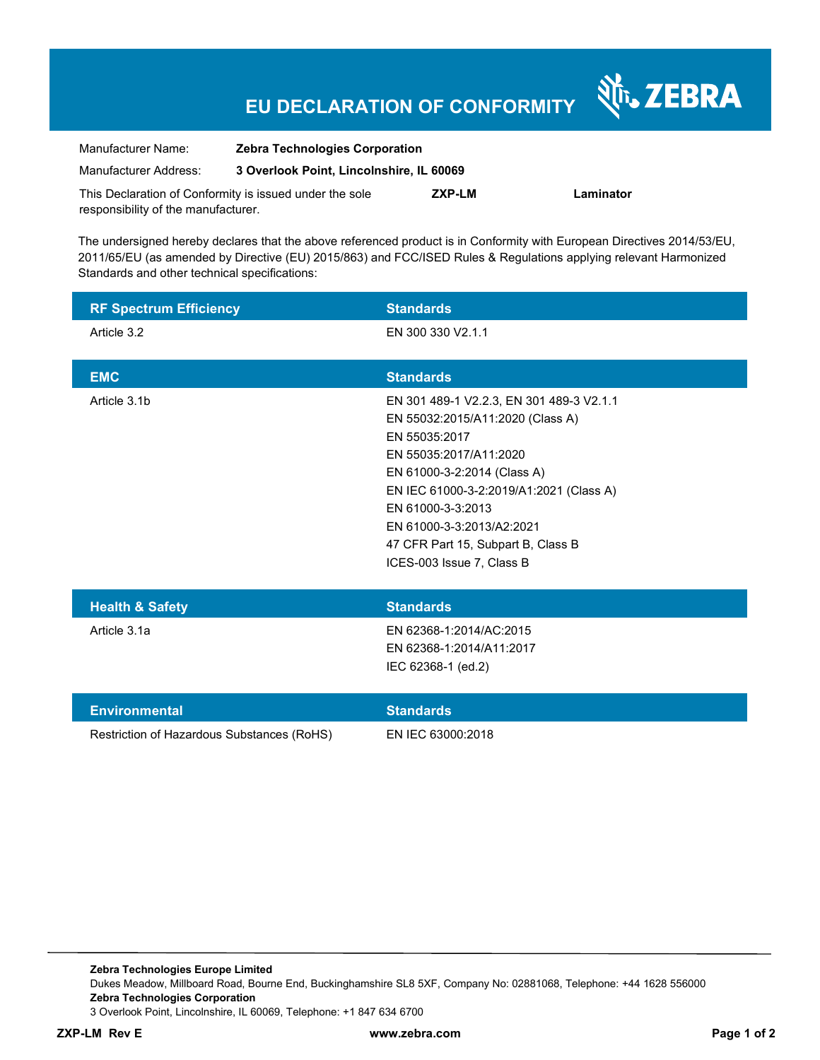## **EU DECLARATION OF CONFORMITY**

Nr. ZEBRA

| Manufacturer Name:                                      | <b>Zebra Technologies Corporation</b>    |        |           |
|---------------------------------------------------------|------------------------------------------|--------|-----------|
| Manufacturer Address:                                   | 3 Overlook Point, Lincolnshire, IL 60069 |        |           |
| This Declaration of Conformity is issued under the sole |                                          | ZXP-LM | Laminator |
| responsibility of the manufacturer.                     |                                          |        |           |

The undersigned hereby declares that the above referenced product is in Conformity with European Directives 2014/53/EU, 2011/65/EU (as amended by Directive (EU) 2015/863) and FCC/ISED Rules & Regulations applying relevant Harmonized Standards and other technical specifications:

| <b>RF Spectrum Efficiency</b>              | <b>Standards</b>                                                                                                                                                                                                                                                                                                       |
|--------------------------------------------|------------------------------------------------------------------------------------------------------------------------------------------------------------------------------------------------------------------------------------------------------------------------------------------------------------------------|
| Article 3.2                                | EN 300 330 V2.1.1                                                                                                                                                                                                                                                                                                      |
| <b>EMC</b>                                 | <b>Standards</b>                                                                                                                                                                                                                                                                                                       |
| Article 3.1b                               | EN 301 489-1 V2.2.3, EN 301 489-3 V2.1.1<br>EN 55032:2015/A11:2020 (Class A)<br>EN 55035:2017<br>EN 55035:2017/A11:2020<br>EN 61000-3-2:2014 (Class A)<br>EN IEC 61000-3-2:2019/A1:2021 (Class A)<br>EN 61000-3-3:2013<br>EN 61000-3-3:2013/A2:2021<br>47 CFR Part 15, Subpart B, Class B<br>ICES-003 Issue 7, Class B |
| <b>Health &amp; Safety</b>                 | <b>Standards</b>                                                                                                                                                                                                                                                                                                       |
| Article 3.1a                               | EN 62368-1:2014/AC:2015<br>EN 62368-1:2014/A11:2017<br>IEC 62368-1 (ed.2)                                                                                                                                                                                                                                              |
| <b>Environmental</b>                       | <b>Standards</b>                                                                                                                                                                                                                                                                                                       |
| Restriction of Hazardous Substances (RoHS) | EN IEC 63000:2018                                                                                                                                                                                                                                                                                                      |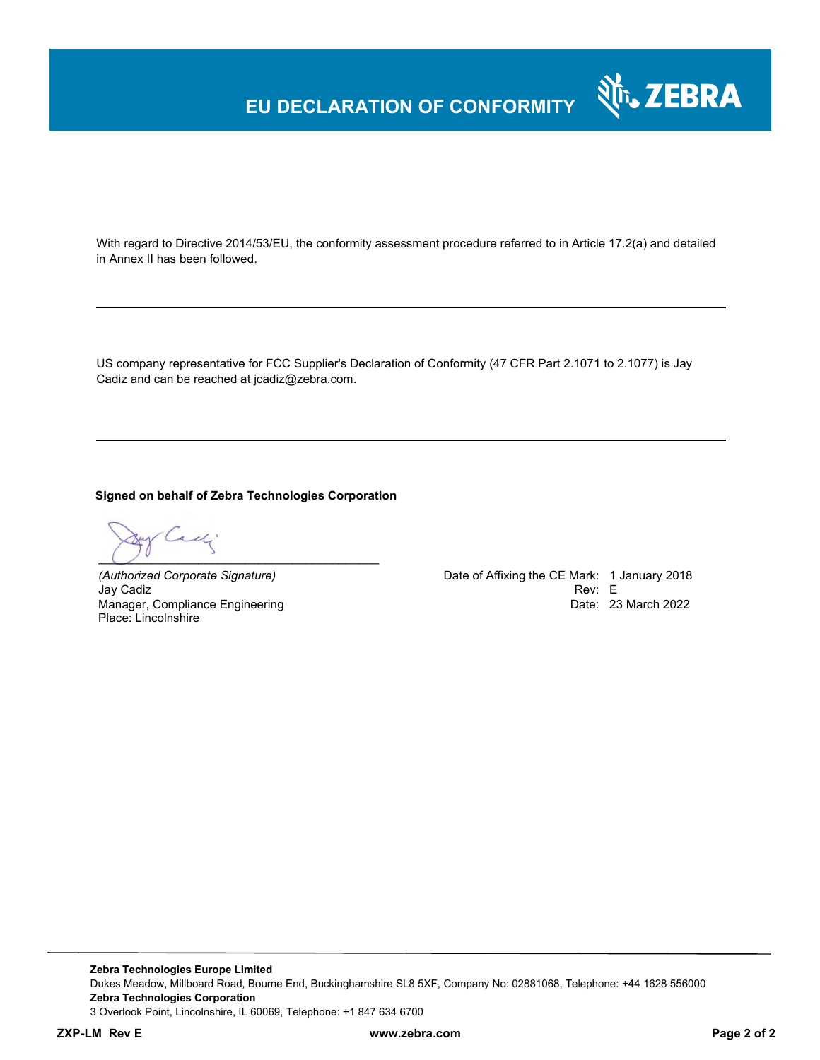## **EU DECLARATION OF CONFORMITY**

With regard to Directive 2014/53/EU, the conformity assessment procedure referred to in Article 17.2(a) and detailed in Annex II has been followed.

US company representative for FCC Supplier's Declaration of Conformity (47 CFR Part 2.1071 to 2.1077) is Jay Cadiz and can be reached at jcadiz@zebra.com.

**Signed on behalf of Zebra Technologies Corporation** 

 $\bigcup$   $\bigcup$   $\bigcup$   $\bigcup$   $\bigcup$   $\bigcup$   $\bigcup$   $\bigcup$   $\bigcup$   $\bigcup$   $\bigcup$   $\bigcup$   $\bigcup$   $\bigcup$   $\bigcup$   $\bigcup$   $\bigcup$   $\bigcup$   $\bigcup$   $\bigcup$   $\bigcup$   $\bigcup$   $\bigcup$   $\bigcup$   $\bigcup$   $\bigcup$   $\bigcup$   $\bigcup$   $\bigcup$   $\bigcup$   $\bigcup$   $\bigcup$   $\bigcup$   $\bigcup$   $\bigcup$   $\bigcup$   $\bigcup$ 

Jay Cadiz **Example 2018 Rev: E** Manager, Compliance Engineering Place: Lincolnshire

*(Authorized Corporate Signature)* Date of Affixing the CE Mark: 1 January 2018 Date: 23 March 2022

Nr. ZEBRA

**Zebra Technologies Europe Limited**  Dukes Meadow, Millboard Road, Bourne End, Buckinghamshire SL8 5XF, Company No: 02881068, Telephone: +44 1628 556000 **Zebra Technologies Corporation**  3 Overlook Point, Lincolnshire, IL 60069, Telephone: +1 847 634 6700